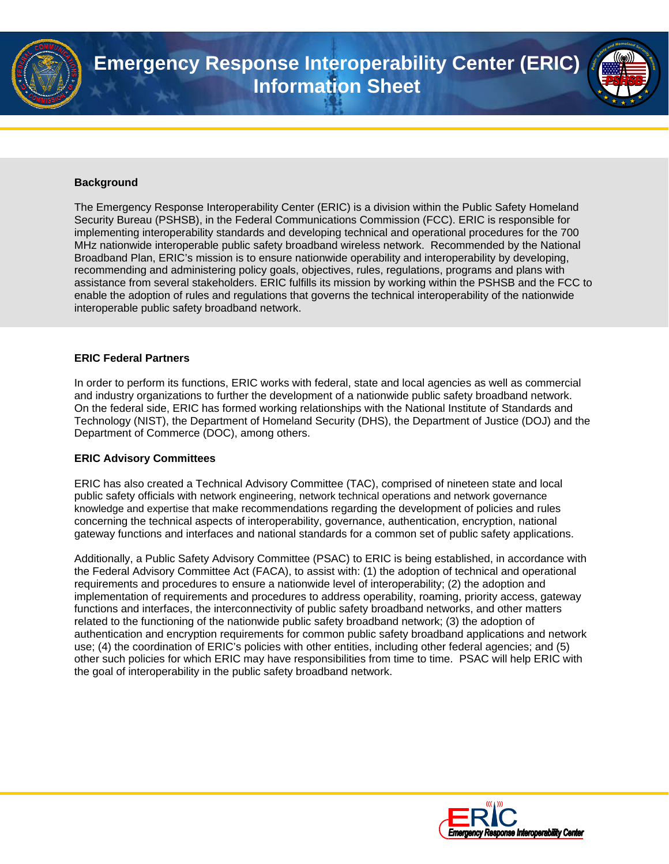

## **Background**

The Emergency Response Interoperability Center (ERIC) is a division within the Public Safety Homeland Security Bureau (PSHSB), in the Federal Communications Commission (FCC). ERIC is responsible for implementing interoperability standards and developing technical and operational procedures for the 700 MHz nationwide interoperable public safety broadband wireless network. Recommended by the National Broadband Plan, ERIC's mission is to ensure nationwide operability and interoperability by developing, recommending and administering policy goals, objectives, rules, regulations, programs and plans with assistance from several stakeholders. ERIC fulfills its mission by working within the PSHSB and the FCC to enable the adoption of rules and regulations that governs the technical interoperability of the nationwide interoperable public safety broadband network.

## **ERIC Federal Partners**

In order to perform its functions, ERIC works with federal, state and local agencies as well as commercial and industry organizations to further the development of a nationwide public safety broadband network. On the federal side, ERIC has formed working relationships with the National Institute of Standards and Technology (NIST), the Department of Homeland Security (DHS), the Department of Justice (DOJ) and the Department of Commerce (DOC), among others.

## **ERIC Advisory Committees**

ERIC has also created a Technical Advisory Committee (TAC), comprised of nineteen state and local public safety officials with network engineering, network technical operations and network governance knowledge and expertise that make recommendations regarding the development of policies and rules concerning the technical aspects of interoperability, governance, authentication, encryption, national gateway functions and interfaces and national standards for a common set of public safety applications.

Additionally, a Public Safety Advisory Committee (PSAC) to ERIC is being established, in accordance with the Federal Advisory Committee Act (FACA), to assist with: (1) the adoption of technical and operational requirements and procedures to ensure a nationwide level of interoperability; (2) the adoption and implementation of requirements and procedures to address operability, roaming, priority access, gateway functions and interfaces, the interconnectivity of public safety broadband networks, and other matters related to the functioning of the nationwide public safety broadband network; (3) the adoption of authentication and encryption requirements for common public safety broadband applications and network use; (4) the coordination of ERIC's policies with other entities, including other federal agencies; and (5) other such policies for which ERIC may have responsibilities from time to time. PSAC will help ERIC with the goal of interoperability in the public safety broadband network.